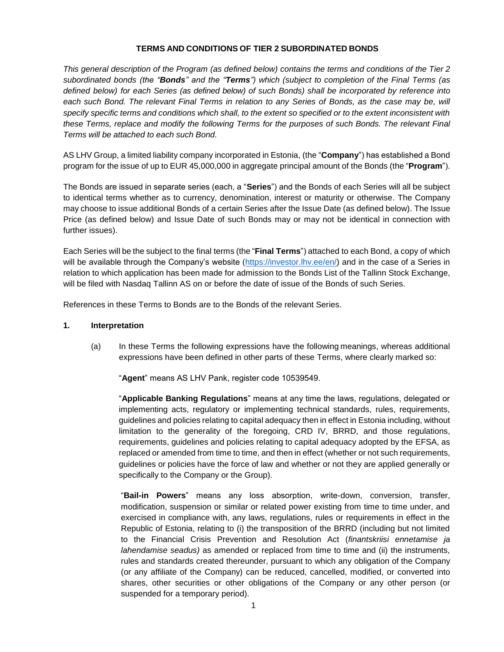## **TERMS AND CONDITIONS OF TIER 2 SUBORDINATED BONDS**

*This general description of the Program (as defined below) contains the terms and conditions of the Tier 2 subordinated bonds (the "Bonds" and the "Terms") which (subject to completion of the Final Terms (as defined below) for each Series (as defined below) of such Bonds) shall be incorporated by reference into each such Bond. The relevant Final Terms in relation to any Series of Bonds, as the case may be, will specify specific terms and conditions which shall, to the extent so specified or to the extent inconsistent with these Terms, replace and modify the following Terms for the purposes of such Bonds. The relevant Final Terms will be attached to each such Bond.*

AS LHV Group, a limited liability company incorporated in Estonia, (the "**Company**") has established a Bond program for the issue of up to EUR 45,000,000 in aggregate principal amount of the Bonds (the "**Program**").

The Bonds are issued in separate series (each, a "**Series**") and the Bonds of each Series will all be subject to identical terms whether as to currency, denomination, interest or maturity or otherwise. The Company may choose to issue additional Bonds of a certain Series after the Issue Date (as defined below). The Issue Price (as defined below) and Issue Date of such Bonds may or may not be identical in connection with further issues).

Each Series will be the subject to the final terms (the "**Final Terms**") attached to each Bond, a copy of which will be available through the Company's website (https://investor.lhv.ee/en/) and in the case of a Series in relation to which application has been made for admission to the Bonds List of the Tallinn Stock Exchange, will be filed with Nasdaq Tallinn AS on or before the date of issue of the Bonds of such Series.

References in these Terms to Bonds are to the Bonds of the relevant Series.

## **1. Interpretation**

(a) In these Terms the following expressions have the following meanings, whereas additional expressions have been defined in other parts of these Terms, where clearly marked so:

"**Agent**" means AS LHV Pank, register code 10539549.

"**Applicable Banking Regulations**" means at any time the laws, regulations, delegated or implementing acts, regulatory or implementing technical standards, rules, requirements, guidelines and policies relating to capital adequacy then in effect in Estonia including, without limitation to the generality of the foregoing, CRD IV, BRRD, and those regulations, requirements, guidelines and policies relating to capital adequacy adopted by the EFSA, as replaced or amended from time to time, and then in effect (whether or not such requirements, guidelines or policies have the force of law and whether or not they are applied generally or specifically to the Company or the Group).

"**Bail-in Powers**" means any loss absorption, write-down, conversion, transfer, modification, suspension or similar or related power existing from time to time under, and exercised in compliance with, any laws, regulations, rules or requirements in effect in the Republic of Estonia, relating to (i) the transposition of the BRRD (including but not limited to the Financial Crisis Prevention and Resolution Act (*finantskriisi ennetamise ja lahendamise seadus)* as amended or replaced from time to time and (ii) the instruments, rules and standards created thereunder, pursuant to which any obligation of the Company (or any affiliate of the Company) can be reduced, cancelled, modified, or converted into shares, other securities or other obligations of the Company or any other person (or suspended for a temporary period).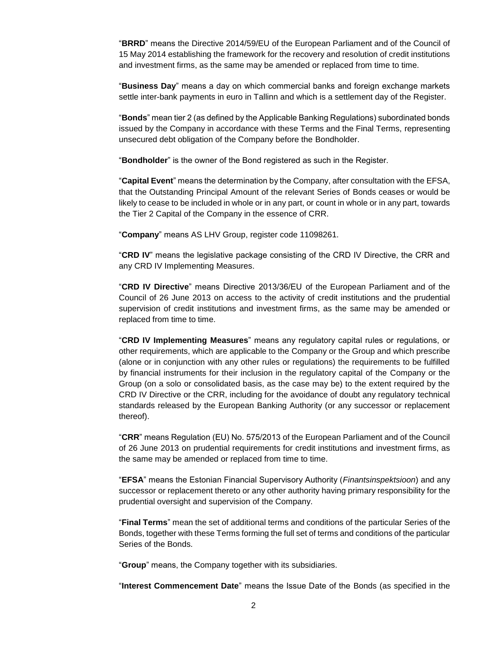"**BRRD**" means the Directive 2014/59/EU of the European Parliament and of the Council of 15 May 2014 establishing the framework for the recovery and resolution of credit institutions and investment firms, as the same may be amended or replaced from time to time.

"**Business Day**" means a day on which commercial banks and foreign exchange markets settle inter-bank payments in euro in Tallinn and which is a settlement day of the Register.

"**Bonds**" mean tier 2 (as defined by the Applicable Banking Regulations) subordinated bonds issued by the Company in accordance with these Terms and the Final Terms, representing unsecured debt obligation of the Company before the Bondholder.

"**Bondholder**" is the owner of the Bond registered as such in the Register.

"**Capital Event**" means the determination by the Company, after consultation with the EFSA, that the Outstanding Principal Amount of the relevant Series of Bonds ceases or would be likely to cease to be included in whole or in any part, or count in whole or in any part, towards the Tier 2 Capital of the Company in the essence of CRR.

"**Company**" means AS LHV Group, register code 11098261.

"**CRD IV**" means the legislative package consisting of the CRD IV Directive, the CRR and any CRD IV Implementing Measures.

"**CRD IV Directive**" means Directive 2013/36/EU of the European Parliament and of the Council of 26 June 2013 on access to the activity of credit institutions and the prudential supervision of credit institutions and investment firms, as the same may be amended or replaced from time to time.

"**CRD IV Implementing Measures**" means any regulatory capital rules or regulations, or other requirements, which are applicable to the Company or the Group and which prescribe (alone or in conjunction with any other rules or regulations) the requirements to be fulfilled by financial instruments for their inclusion in the regulatory capital of the Company or the Group (on a solo or consolidated basis, as the case may be) to the extent required by the CRD IV Directive or the CRR, including for the avoidance of doubt any regulatory technical standards released by the European Banking Authority (or any successor or replacement thereof).

"**CRR**" means Regulation (EU) No. 575/2013 of the European Parliament and of the Council of 26 June 2013 on prudential requirements for credit institutions and investment firms, as the same may be amended or replaced from time to time.

"**EFSA**" means the Estonian Financial Supervisory Authority (*Finantsinspektsioon*) and any successor or replacement thereto or any other authority having primary responsibility for the prudential oversight and supervision of the Company.

"**Final Terms**" mean the set of additional terms and conditions of the particular Series of the Bonds, together with these Terms forming the full set of terms and conditions of the particular Series of the Bonds.

"**Group**" means, the Company together with its subsidiaries.

"**Interest Commencement Date**" means the Issue Date of the Bonds (as specified in the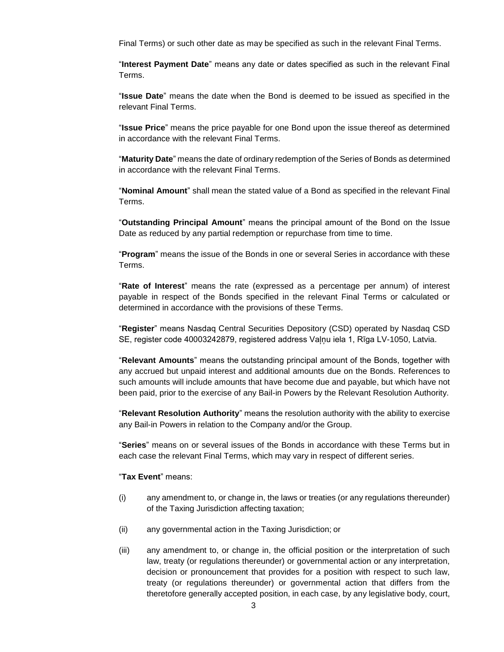Final Terms) or such other date as may be specified as such in the relevant Final Terms.

"**Interest Payment Date**" means any date or dates specified as such in the relevant Final Terms.

"**Issue Date**" means the date when the Bond is deemed to be issued as specified in the relevant Final Terms.

"**Issue Price**" means the price payable for one Bond upon the issue thereof as determined in accordance with the relevant Final Terms.

"**Maturity Date**" means the date of ordinary redemption of the Series of Bonds as determined in accordance with the relevant Final Terms.

"**Nominal Amount**" shall mean the stated value of a Bond as specified in the relevant Final Terms.

"**Outstanding Principal Amount**" means the principal amount of the Bond on the Issue Date as reduced by any partial redemption or repurchase from time to time.

"**Program**" means the issue of the Bonds in one or several Series in accordance with these Terms.

"**Rate of Interest**" means the rate (expressed as a percentage per annum) of interest payable in respect of the Bonds specified in the relevant Final Terms or calculated or determined in accordance with the provisions of these Terms.

"**Register**" means Nasdaq Central Securities Depository (CSD) operated by Nasdaq CSD SE, register code 40003242879, registered address Vaļņu iela 1, Rīga LV-1050, Latvia.

"**Relevant Amounts**" means the outstanding principal amount of the Bonds, together with any accrued but unpaid interest and additional amounts due on the Bonds. References to such amounts will include amounts that have become due and payable, but which have not been paid, prior to the exercise of any Bail-in Powers by the Relevant Resolution Authority.

"**Relevant Resolution Authority**" means the resolution authority with the ability to exercise any Bail-in Powers in relation to the Company and/or the Group.

"**Series**" means on or several issues of the Bonds in accordance with these Terms but in each case the relevant Final Terms, which may vary in respect of different series.

#### "**Tax Event**" means:

- (i) any amendment to, or change in, the laws or treaties (or any regulations thereunder) of the Taxing Jurisdiction affecting taxation;
- (ii) any governmental action in the Taxing Jurisdiction; or
- (iii) any amendment to, or change in, the official position or the interpretation of such law, treaty (or regulations thereunder) or governmental action or any interpretation, decision or pronouncement that provides for a position with respect to such law, treaty (or regulations thereunder) or governmental action that differs from the theretofore generally accepted position, in each case, by any legislative body, court,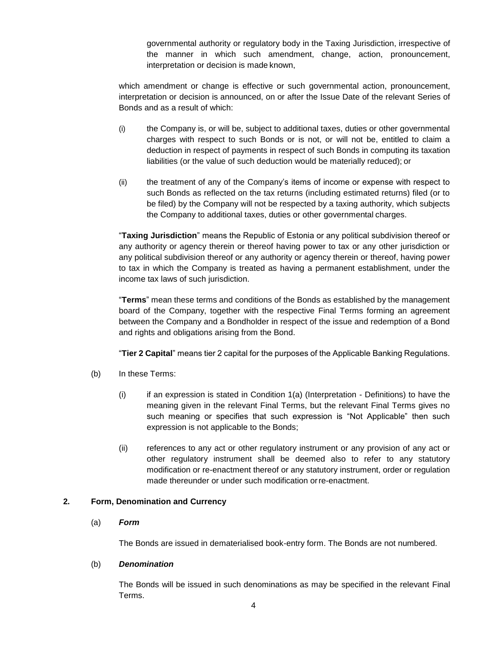governmental authority or regulatory body in the Taxing Jurisdiction, irrespective of the manner in which such amendment, change, action, pronouncement, interpretation or decision is made known,

which amendment or change is effective or such governmental action, pronouncement, interpretation or decision is announced, on or after the Issue Date of the relevant Series of Bonds and as a result of which:

- (i) the Company is, or will be, subject to additional taxes, duties or other governmental charges with respect to such Bonds or is not, or will not be, entitled to claim a deduction in respect of payments in respect of such Bonds in computing its taxation liabilities (or the value of such deduction would be materially reduced); or
- (ii) the treatment of any of the Company's items of income or expense with respect to such Bonds as reflected on the tax returns (including estimated returns) filed (or to be filed) by the Company will not be respected by a taxing authority, which subjects the Company to additional taxes, duties or other governmental charges.

"**Taxing Jurisdiction**" means the Republic of Estonia or any political subdivision thereof or any authority or agency therein or thereof having power to tax or any other jurisdiction or any political subdivision thereof or any authority or agency therein or thereof, having power to tax in which the Company is treated as having a permanent establishment, under the income tax laws of such jurisdiction.

"**Terms**" mean these terms and conditions of the Bonds as established by the management board of the Company, together with the respective Final Terms forming an agreement between the Company and a Bondholder in respect of the issue and redemption of a Bond and rights and obligations arising from the Bond.

"**Tier 2 Capital**" means tier 2 capital for the purposes of the Applicable Banking Regulations.

- (b) In these Terms:
	- $(i)$  if an expression is stated in Condition  $1(a)$  (Interpretation Definitions) to have the meaning given in the relevant Final Terms, but the relevant Final Terms gives no such meaning or specifies that such expression is "Not Applicable" then such expression is not applicable to the Bonds;
	- (ii) references to any act or other regulatory instrument or any provision of any act or other regulatory instrument shall be deemed also to refer to any statutory modification or re-enactment thereof or any statutory instrument, order or regulation made thereunder or under such modification orre-enactment.

#### **2. Form, Denomination and Currency**

#### (a) *Form*

The Bonds are issued in dematerialised book-entry form. The Bonds are not numbered.

## (b) *Denomination*

The Bonds will be issued in such denominations as may be specified in the relevant Final Terms.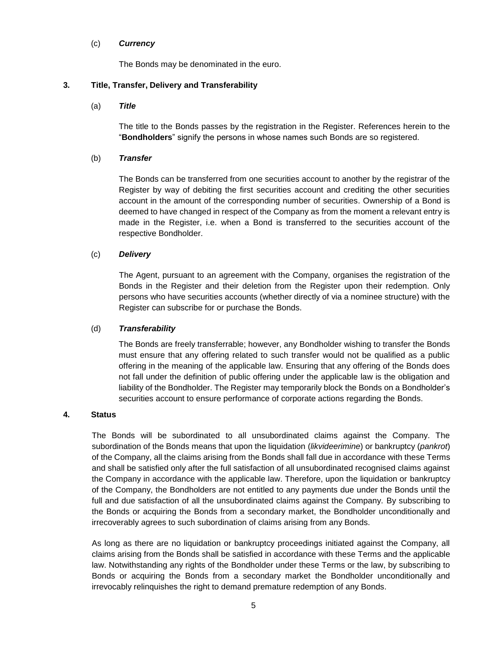#### (c) *Currency*

The Bonds may be denominated in the euro.

## **3. Title, Transfer, Delivery and Transferability**

(a) *Title*

The title to the Bonds passes by the registration in the Register. References herein to the "**Bondholders**" signify the persons in whose names such Bonds are so registered.

## (b) *Transfer*

The Bonds can be transferred from one securities account to another by the registrar of the Register by way of debiting the first securities account and crediting the other securities account in the amount of the corresponding number of securities. Ownership of a Bond is deemed to have changed in respect of the Company as from the moment a relevant entry is made in the Register, i.e. when a Bond is transferred to the securities account of the respective Bondholder.

## (c) *Delivery*

The Agent, pursuant to an agreement with the Company, organises the registration of the Bonds in the Register and their deletion from the Register upon their redemption. Only persons who have securities accounts (whether directly of via a nominee structure) with the Register can subscribe for or purchase the Bonds.

## (d) *Transferability*

The Bonds are freely transferrable; however, any Bondholder wishing to transfer the Bonds must ensure that any offering related to such transfer would not be qualified as a public offering in the meaning of the applicable law. Ensuring that any offering of the Bonds does not fall under the definition of public offering under the applicable law is the obligation and liability of the Bondholder. The Register may temporarily block the Bonds on a Bondholder's securities account to ensure performance of corporate actions regarding the Bonds.

## **4. Status**

The Bonds will be subordinated to all unsubordinated claims against the Company. The subordination of the Bonds means that upon the liquidation (*likvideerimine*) or bankruptcy (*pankrot*) of the Company, all the claims arising from the Bonds shall fall due in accordance with these Terms and shall be satisfied only after the full satisfaction of all unsubordinated recognised claims against the Company in accordance with the applicable law. Therefore, upon the liquidation or bankruptcy of the Company, the Bondholders are not entitled to any payments due under the Bonds until the full and due satisfaction of all the unsubordinated claims against the Company. By subscribing to the Bonds or acquiring the Bonds from a secondary market, the Bondholder unconditionally and irrecoverably agrees to such subordination of claims arising from any Bonds.

As long as there are no liquidation or bankruptcy proceedings initiated against the Company, all claims arising from the Bonds shall be satisfied in accordance with these Terms and the applicable law. Notwithstanding any rights of the Bondholder under these Terms or the law, by subscribing to Bonds or acquiring the Bonds from a secondary market the Bondholder unconditionally and irrevocably relinquishes the right to demand premature redemption of any Bonds.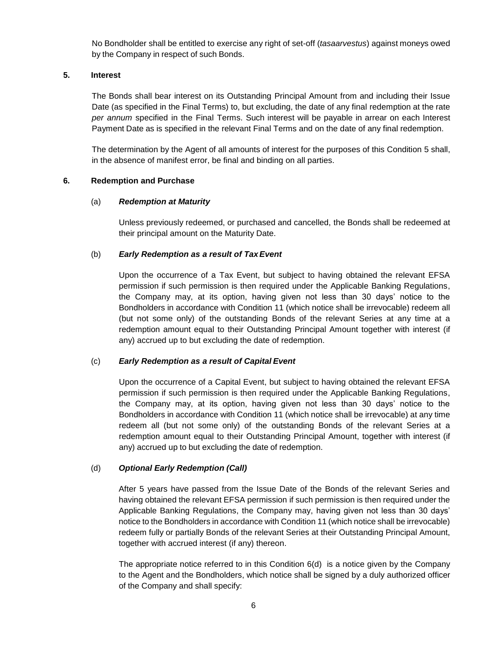No Bondholder shall be entitled to exercise any right of set-off (*tasaarvestus*) against moneys owed by the Company in respect of such Bonds.

## <span id="page-5-0"></span>**5. Interest**

The Bonds shall bear interest on its Outstanding Principal Amount from and including their Issue Date (as specified in the Final Terms) to, but excluding, the date of any final redemption at the rate *per annum* specified in the Final Terms. Such interest will be payable in arrear on each Interest Payment Date as is specified in the relevant Final Terms and on the date of any final redemption.

The determination by the Agent of all amounts of interest for the purposes of this Condition [5](#page-5-0) shall, in the absence of manifest error, be final and binding on all parties.

## <span id="page-5-1"></span>**6. Redemption and Purchase**

## (a) *Redemption at Maturity*

Unless previously redeemed, or purchased and cancelled, the Bonds shall be redeemed at their principal amount on the Maturity Date.

# (b) *Early Redemption as a result of TaxEvent*

Upon the occurrence of a Tax Event, but subject to having obtained the relevant EFSA permission if such permission is then required under the Applicable Banking Regulations, the Company may, at its option, having given not less than 30 days' notice to the Bondholders in accordance with Condition [11](#page-8-0) (which notice shall be irrevocable) redeem all (but not some only) of the outstanding Bonds of the relevant Series at any time at a redemption amount equal to their Outstanding Principal Amount together with interest (if any) accrued up to but excluding the date of redemption.

#### (c) *Early Redemption as a result of Capital Event*

Upon the occurrence of a Capital Event, but subject to having obtained the relevant EFSA permission if such permission is then required under the Applicable Banking Regulations, the Company may, at its option, having given not less than 30 days' notice to the Bondholders in accordance with Condition [11](#page-8-0) (which notice shall be irrevocable) at any time redeem all (but not some only) of the outstanding Bonds of the relevant Series at a redemption amount equal to their Outstanding Principal Amount, together with interest (if any) accrued up to but excluding the date of redemption.

# <span id="page-5-2"></span>(d) *Optional Early Redemption (Call)*

After 5 years have passed from the Issue Date of the Bonds of the relevant Series and having obtained the relevant EFSA permission if such permission is then required under the Applicable Banking Regulations, the Company may, having given not less than 30 days' notice to the Bondholders in accordance with Condition [11](#page-8-0) (which notice shall be irrevocable) redeem fully or partially Bonds of the relevant Series at their Outstanding Principal Amount, together with accrued interest (if any) thereon.

The appropriate notice referred to in this Condition [6](#page-5-1)[\(d\)](#page-5-2) is a notice given by the Company to the Agent and the Bondholders, which notice shall be signed by a duly authorized officer of the Company and shall specify: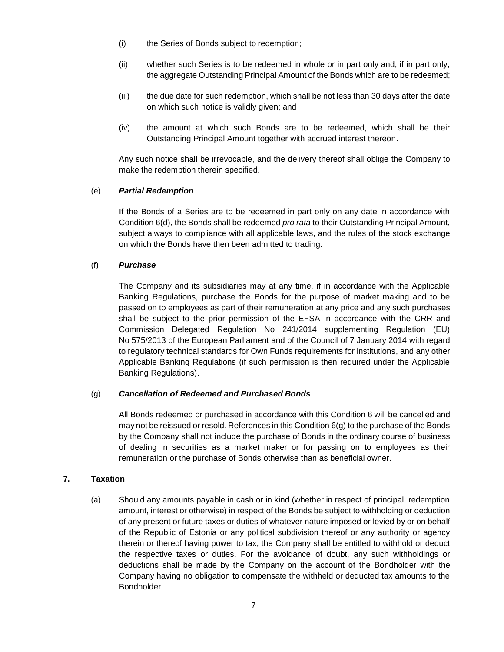- (i) the Series of Bonds subject to redemption;
- (ii) whether such Series is to be redeemed in whole or in part only and, if in part only, the aggregate Outstanding Principal Amount of the Bonds which are to be redeemed;
- (iii) the due date for such redemption, which shall be not less than 30 days after the date on which such notice is validly given; and
- (iv) the amount at which such Bonds are to be redeemed, which shall be their Outstanding Principal Amount together with accrued interest thereon.

Any such notice shall be irrevocable, and the delivery thereof shall oblige the Company to make the redemption therein specified.

## (e) *Partial Redemption*

If the Bonds of a Series are to be redeemed in part only on any date in accordance with Condition [6](#page-5-1)[\(d\),](#page-5-2) the Bonds shall be redeemed *pro rata* to their Outstanding Principal Amount, subject always to compliance with all applicable laws, and the rules of the stock exchange on which the Bonds have then been admitted to trading.

## (f) *Purchase*

The Company and its subsidiaries may at any time, if in accordance with the Applicable Banking Regulations, purchase the Bonds for the purpose of market making and to be passed on to employees as part of their remuneration at any price and any such purchases shall be subject to the prior permission of the EFSA in accordance with the CRR and Commission Delegated Regulation No 241/2014 supplementing Regulation (EU) No 575/2013 of the European Parliament and of the Council of 7 January 2014 with regard to regulatory technical standards for Own Funds requirements for institutions, and any other Applicable Banking Regulations (if such permission is then required under the Applicable Banking Regulations).

#### <span id="page-6-0"></span>(g) *Cancellation of Redeemed and Purchased Bonds*

All Bonds redeemed or purchased in accordance with this Condition [6](#page-5-1) will be cancelled and may not be reissued or resold. References in this Conditio[n 6](#page-5-1)[\(g\)](#page-6-0) to the purchase of the Bonds by the Company shall not include the purchase of Bonds in the ordinary course of business of dealing in securities as a market maker or for passing on to employees as their remuneration or the purchase of Bonds otherwise than as beneficial owner.

# <span id="page-6-1"></span>**7. Taxation**

(a) Should any amounts payable in cash or in kind (whether in respect of principal, redemption amount, interest or otherwise) in respect of the Bonds be subject to withholding or deduction of any present or future taxes or duties of whatever nature imposed or levied by or on behalf of the Republic of Estonia or any political subdivision thereof or any authority or agency therein or thereof having power to tax, the Company shall be entitled to withhold or deduct the respective taxes or duties. For the avoidance of doubt, any such withholdings or deductions shall be made by the Company on the account of the Bondholder with the Company having no obligation to compensate the withheld or deducted tax amounts to the Bondholder.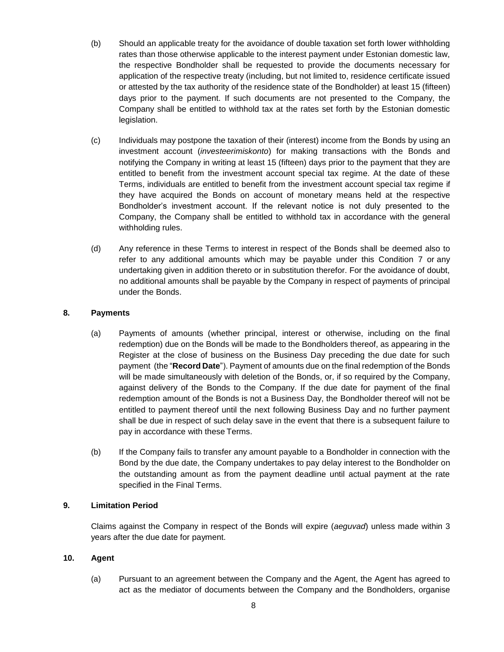- (b) Should an applicable treaty for the avoidance of double taxation set forth lower withholding rates than those otherwise applicable to the interest payment under Estonian domestic law, the respective Bondholder shall be requested to provide the documents necessary for application of the respective treaty (including, but not limited to, residence certificate issued or attested by the tax authority of the residence state of the Bondholder) at least 15 (fifteen) days prior to the payment. If such documents are not presented to the Company, the Company shall be entitled to withhold tax at the rates set forth by the Estonian domestic legislation.
- (c) Individuals may postpone the taxation of their (interest) income from the Bonds by using an investment account (*investeerimiskonto*) for making transactions with the Bonds and notifying the Company in writing at least 15 (fifteen) days prior to the payment that they are entitled to benefit from the investment account special tax regime. At the date of these Terms, individuals are entitled to benefit from the investment account special tax regime if they have acquired the Bonds on account of monetary means held at the respective Bondholder's investment account. If the relevant notice is not duly presented to the Company, the Company shall be entitled to withhold tax in accordance with the general withholding rules.
- (d) Any reference in these Terms to interest in respect of the Bonds shall be deemed also to refer to any additional amounts which may be payable under this Condition [7](#page-6-1) or any undertaking given in addition thereto or in substitution therefor. For the avoidance of doubt, no additional amounts shall be payable by the Company in respect of payments of principal under the Bonds.

# **8. Payments**

- (a) Payments of amounts (whether principal, interest or otherwise, including on the final redemption) due on the Bonds will be made to the Bondholders thereof, as appearing in the Register at the close of business on the Business Day preceding the due date for such payment (the "**Record Date**"). Payment of amounts due on the final redemption of the Bonds will be made simultaneously with deletion of the Bonds, or, if so required by the Company, against delivery of the Bonds to the Company. If the due date for payment of the final redemption amount of the Bonds is not a Business Day, the Bondholder thereof will not be entitled to payment thereof until the next following Business Day and no further payment shall be due in respect of such delay save in the event that there is a subsequent failure to pay in accordance with these Terms.
- (b) If the Company fails to transfer any amount payable to a Bondholder in connection with the Bond by the due date, the Company undertakes to pay delay interest to the Bondholder on the outstanding amount as from the payment deadline until actual payment at the rate specified in the Final Terms.

#### **9. Limitation Period**

Claims against the Company in respect of the Bonds will expire (*aeguvad*) unless made within 3 years after the due date for payment.

## **10. Agent**

(a) Pursuant to an agreement between the Company and the Agent, the Agent has agreed to act as the mediator of documents between the Company and the Bondholders, organise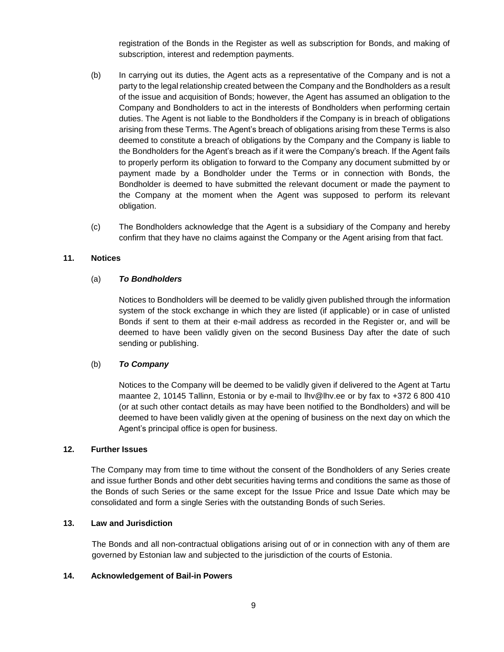registration of the Bonds in the Register as well as subscription for Bonds, and making of subscription, interest and redemption payments.

- (b) In carrying out its duties, the Agent acts as a representative of the Company and is not a party to the legal relationship created between the Company and the Bondholders as a result of the issue and acquisition of Bonds; however, the Agent has assumed an obligation to the Company and Bondholders to act in the interests of Bondholders when performing certain duties. The Agent is not liable to the Bondholders if the Company is in breach of obligations arising from these Terms. The Agent's breach of obligations arising from these Terms is also deemed to constitute a breach of obligations by the Company and the Company is liable to the Bondholders for the Agent's breach as if it were the Company's breach. If the Agent fails to properly perform its obligation to forward to the Company any document submitted by or payment made by a Bondholder under the Terms or in connection with Bonds, the Bondholder is deemed to have submitted the relevant document or made the payment to the Company at the moment when the Agent was supposed to perform its relevant obligation.
- (c) The Bondholders acknowledge that the Agent is a subsidiary of the Company and hereby confirm that they have no claims against the Company or the Agent arising from that fact.

# <span id="page-8-0"></span>**11. Notices**

#### (a) *To Bondholders*

Notices to Bondholders will be deemed to be validly given published through the information system of the stock exchange in which they are listed (if applicable) or in case of unlisted Bonds if sent to them at their e-mail address as recorded in the Register or, and will be deemed to have been validly given on the second Business Day after the date of such sending or publishing.

## (b) *To Company*

Notices to the Company will be deemed to be validly given if delivered to the Agent at Tartu maantee 2, 10145 Tallinn, Estonia or by e-mail to lhv@lhv.ee or by fax to +372 6 800 410 (or at such other contact details as may have been notified to the Bondholders) and will be deemed to have been validly given at the opening of business on the next day on which the Agent's principal office is open for business.

# **12. Further Issues**

The Company may from time to time without the consent of the Bondholders of any Series create and issue further Bonds and other debt securities having terms and conditions the same as those of the Bonds of such Series or the same except for the Issue Price and Issue Date which may be consolidated and form a single Series with the outstanding Bonds of such Series.

#### **13. Law and Jurisdiction**

The Bonds and all non-contractual obligations arising out of or in connection with any of them are governed by Estonian law and subjected to the jurisdiction of the courts of Estonia.

#### <span id="page-8-1"></span>**14. Acknowledgement of Bail-in Powers**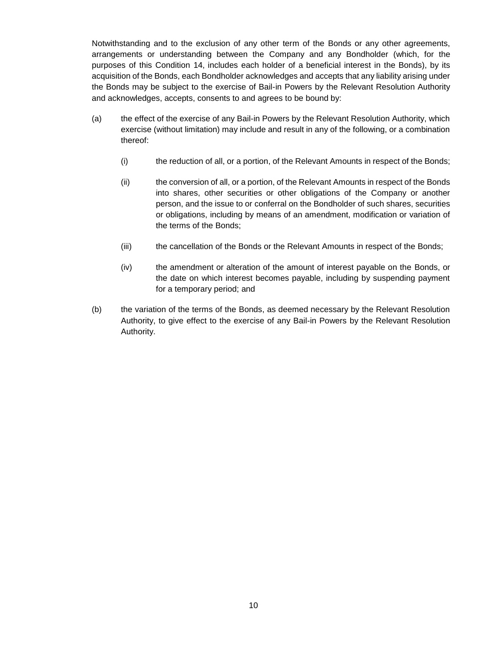Notwithstanding and to the exclusion of any other term of the Bonds or any other agreements, arrangements or understanding between the Company and any Bondholder (which, for the purposes of this Condition [14,](#page-8-1) includes each holder of a beneficial interest in the Bonds), by its acquisition of the Bonds, each Bondholder acknowledges and accepts that any liability arising under the Bonds may be subject to the exercise of Bail-in Powers by the Relevant Resolution Authority and acknowledges, accepts, consents to and agrees to be bound by:

- (a) the effect of the exercise of any Bail-in Powers by the Relevant Resolution Authority, which exercise (without limitation) may include and result in any of the following, or a combination thereof:
	- (i) the reduction of all, or a portion, of the Relevant Amounts in respect of the Bonds;
	- (ii) the conversion of all, or a portion, of the Relevant Amounts in respect of the Bonds into shares, other securities or other obligations of the Company or another person, and the issue to or conferral on the Bondholder of such shares, securities or obligations, including by means of an amendment, modification or variation of the terms of the Bonds;
	- (iii) the cancellation of the Bonds or the Relevant Amounts in respect of the Bonds;
	- (iv) the amendment or alteration of the amount of interest payable on the Bonds, or the date on which interest becomes payable, including by suspending payment for a temporary period; and
- (b) the variation of the terms of the Bonds, as deemed necessary by the Relevant Resolution Authority, to give effect to the exercise of any Bail-in Powers by the Relevant Resolution Authority.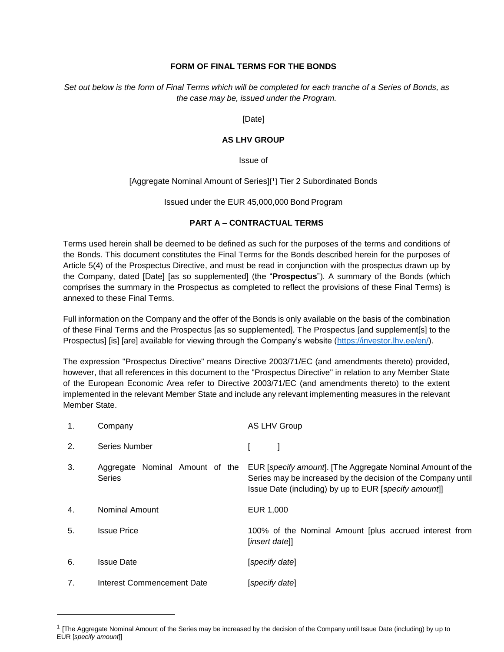## **FORM OF FINAL TERMS FOR THE BONDS**

*Set out below is the form of Final Terms which will be completed for each tranche of a Series of Bonds, as the case may be, issued under the Program.*

[Date]

## **AS LHV GROUP**

Issue of

[Aggregate Nominal Amount of Series][ 1 ] Tier 2 Subordinated Bonds

Issued under the EUR 45,000,000 Bond Program

# **PART A – CONTRACTUAL TERMS**

Terms used herein shall be deemed to be defined as such for the purposes of the terms and conditions of the Bonds. This document constitutes the Final Terms for the Bonds described herein for the purposes of Article 5(4) of the Prospectus Directive, and must be read in conjunction with the prospectus drawn up by the Company, dated [Date] [as so supplemented] (the "**Prospectus**"). A summary of the Bonds (which comprises the summary in the Prospectus as completed to reflect the provisions of these Final Terms) is annexed to these Final Terms.

Full information on the Company and the offer of the Bonds is only available on the basis of the combination of these Final Terms and the Prospectus [as so supplemented]. The Prospectus [and supplement[s] to the Prospectus] [is] [are] available for viewing through the Company's website [\(https://investor.lhv.ee/en/\)](https://investor.lhv.ee/en/).

The expression "Prospectus Directive" means Directive 2003/71/EC (and amendments thereto) provided, however, that all references in this document to the "Prospectus Directive" in relation to any Member State of the European Economic Area refer to Directive 2003/71/EC (and amendments thereto) to the extent implemented in the relevant Member State and include any relevant implementing measures in the relevant Member State.

| $\mathbf{1}$ . | Company                                          | <b>AS LHV Group</b>                                                                                                                                                                 |  |
|----------------|--------------------------------------------------|-------------------------------------------------------------------------------------------------------------------------------------------------------------------------------------|--|
| 2.             | Series Number                                    |                                                                                                                                                                                     |  |
| 3.             | Aggregate Nominal Amount of the<br><b>Series</b> | EUR [specify amount]. [The Aggregate Nominal Amount of the<br>Series may be increased by the decision of the Company until<br>Issue Date (including) by up to EUR [specify amount]] |  |
| 4.             | <b>Nominal Amount</b>                            | EUR 1,000                                                                                                                                                                           |  |
| 5.             | <b>Issue Price</b>                               | 100% of the Nominal Amount [plus accrued interest from<br>[insert date]]                                                                                                            |  |
| 6.             | <b>Issue Date</b>                                | [specify date]                                                                                                                                                                      |  |
| 7.             | <b>Interest Commencement Date</b>                | specify datel                                                                                                                                                                       |  |

l

<sup>&</sup>lt;sup>1</sup> [The Aggregate Nominal Amount of the Series may be increased by the decision of the Company until Issue Date (including) by up to EUR [*specify amount*]]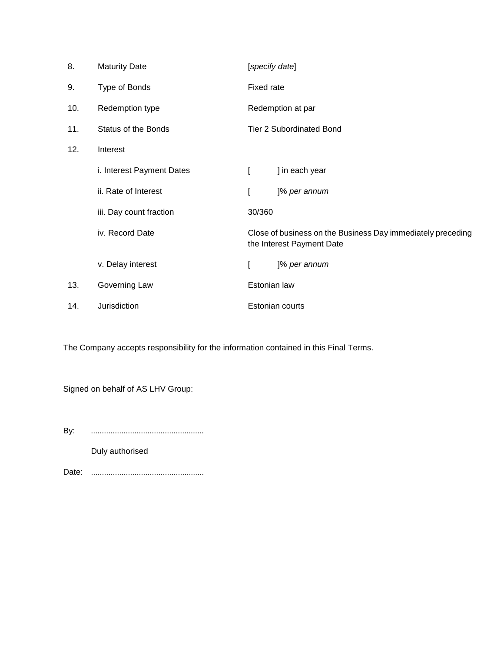| 8.  | <b>Maturity Date</b>      | [specify date]                                                                                     |                |  |
|-----|---------------------------|----------------------------------------------------------------------------------------------------|----------------|--|
| 9.  | Type of Bonds             | Fixed rate                                                                                         |                |  |
| 10. | Redemption type           | Redemption at par                                                                                  |                |  |
| 11. | Status of the Bonds       | <b>Tier 2 Subordinated Bond</b>                                                                    |                |  |
| 12. | Interest                  |                                                                                                    |                |  |
|     | i. Interest Payment Dates | ſ                                                                                                  | ] in each year |  |
|     | ii. Rate of Interest      | I                                                                                                  | ]% per annum   |  |
|     | iii. Day count fraction   | 30/360<br>Close of business on the Business Day immediately preceding<br>the Interest Payment Date |                |  |
|     | iv. Record Date           |                                                                                                    |                |  |
|     | v. Delay interest         | ſ                                                                                                  | ]% per annum   |  |
| 13. | Governing Law             | Estonian law                                                                                       |                |  |
| 14. | Jurisdiction              | Estonian courts                                                                                    |                |  |

The Company accepts responsibility for the information contained in this Final Terms.

Signed on behalf of AS LHV Group:

By: ....................................................

Duly authorised

Date: ....................................................